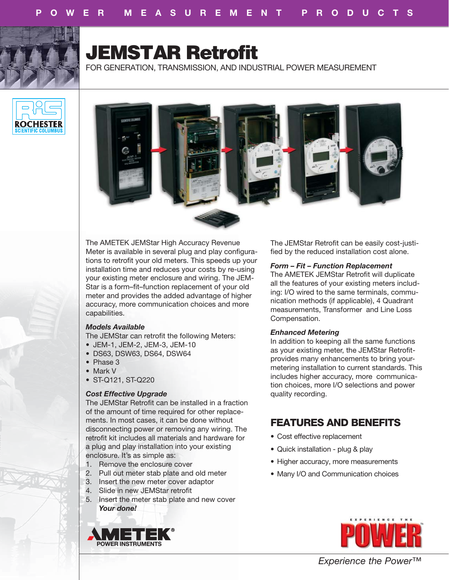

# **JEMSTAR Retrofit**

FOR GENERATION, TRANSMISSION, AND INDUSTRIAL POWER MEASUREMENT





The AMETEK JEMStar High Accuracy Revenue Meter is available in several plug and play configurations to retrofit your old meters. This speeds up your installation time and reduces your costs by re-using your existing meter enclosure and wiring. The JEM-Star is a form–fit–function replacement of your old meter and provides the added advantage of higher accuracy, more communication choices and more capabilities.

## *Models Available*

- The JEMStar can retrofit the following Meters:
- JEM-1, JEM-2, JEM-3, JEM-10
- DS63, DSW63, DS64, DSW64
- Phase 3
- Mark V
- ST-Q121, ST-Q220

# *Cost Effective Upgrade*

The JEMStar Retrofit can be installed in a fraction of the amount of time required for other replacements. In most cases, it can be done without disconnecting power or removing any wiring. The retrofit kit includes all materials and hardware for a plug and play installation into your existing enclosure. It's as simple as:

- 1. Remove the enclosure cover
- 2. Pull out meter stab plate and old meter
- 3. Insert the new meter cover adaptor
- 4. Slide in new JEMStar retrofit
- 5. Insert the meter stab plate and new cover *Your done!*



The JEMStar Retrofit can be easily cost-justified by the reduced installation cost alone.

# *Form – Fit – Function Replacement*

The AMETEK JEMStar Retrofit will duplicate all the features of your existing meters including: I/O wired to the same terminals, communication methods (if applicable), 4 Quadrant measurements, Transformer and Line Loss Compensation.

# *Enhanced Metering*

In addition to keeping all the same functions as your existing meter, the JEMStar Retrofitprovides many enhancements to bring yourmetering installation to current standards. This includes higher accuracy, more communication choices, more I/O selections and power quality recording.

# **FEATURES AND BENEFITS**

- Cost effective replacement
- Quick installation plug & play
- Higher accuracy, more measurements
- Many I/O and Communication choices



*Experience the Power™*